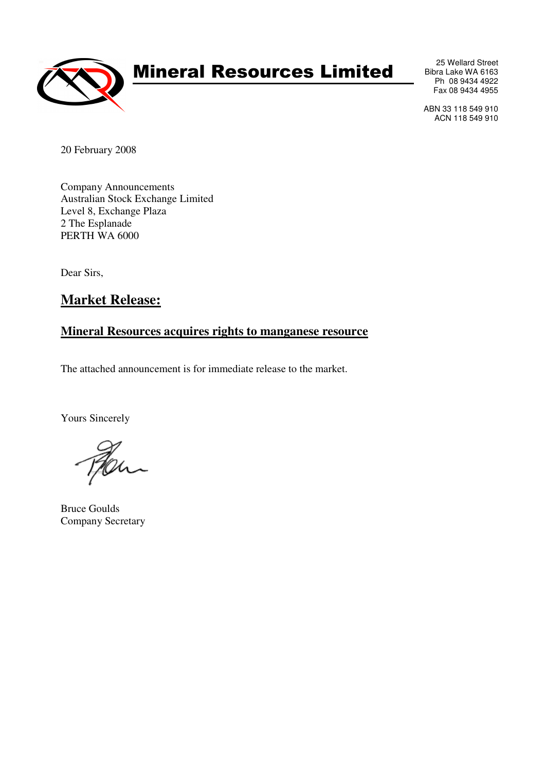

# Mineral Resources Limited

25 Wellard Street Bibra Lake WA 6163 Ph 08 9434 4922 Fax 08 9434 4955

ABN 33 118 549 910 ACN 118 549 910

20 February 2008

Company Announcements Australian Stock Exchange Limited Level 8, Exchange Plaza 2 The Esplanade PERTH WA 6000

Dear Sirs,

## **Market Release:**

### **Mineral Resources acquires rights to manganese resource**

The attached announcement is for immediate release to the market.

Yours Sincerely

Bruce Goulds Company Secretary